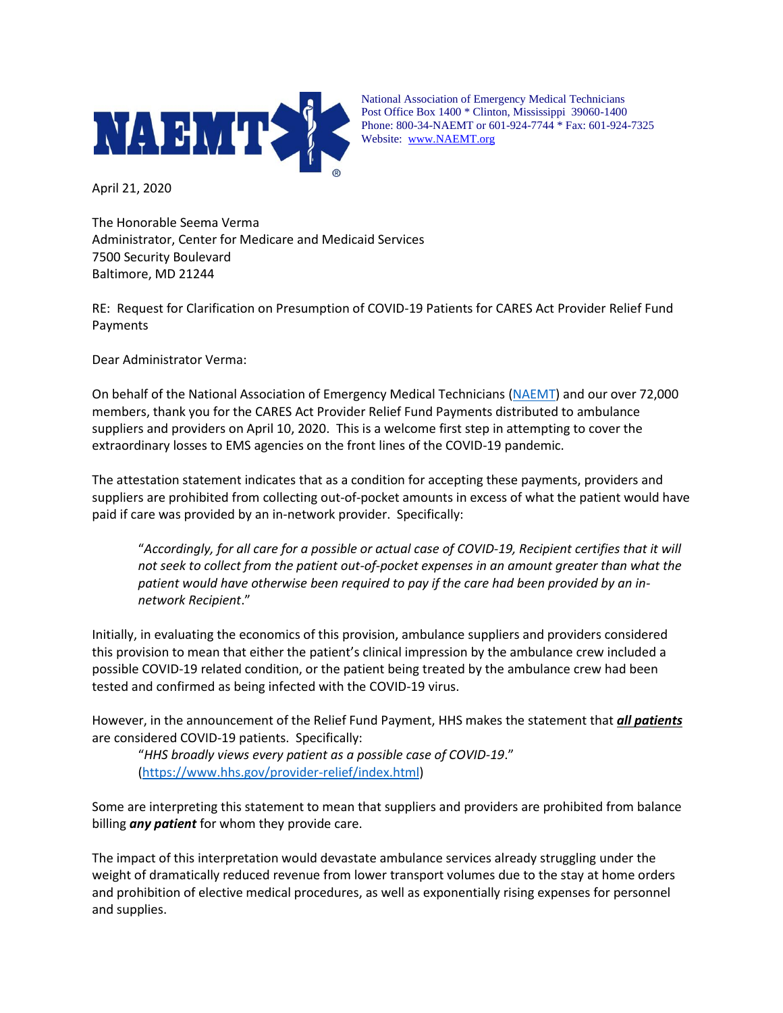

National Association of Emergency Medical Technicians Post Office Box 1400 \* Clinton, Mississippi 39060-1400 Phone: 800-34-NAEMT or 601-924-7744 \* Fax: 601-924-7325 Website: [www.NAEMT.org](http://www.naemt.org/)

April 21, 2020

The Honorable Seema Verma Administrator, Center for Medicare and Medicaid Services 7500 Security Boulevard Baltimore, MD 21244

RE: Request for Clarification on Presumption of COVID-19 Patients for CARES Act Provider Relief Fund Payments

Dear Administrator Verma:

On behalf of the National Association of Emergency Medical Technicians [\(NAEMT\)](http://www.naemt.org/) and our over 72,000 members, thank you for the CARES Act Provider Relief Fund Payments distributed to ambulance suppliers and providers on April 10, 2020. This is a welcome first step in attempting to cover the extraordinary losses to EMS agencies on the front lines of the COVID-19 pandemic.

The attestation statement indicates that as a condition for accepting these payments, providers and suppliers are prohibited from collecting out-of-pocket amounts in excess of what the patient would have paid if care was provided by an in-network provider. Specifically:

"*Accordingly, for all care for a possible or actual case of COVID-19, Recipient certifies that it will not seek to collect from the patient out-of-pocket expenses in an amount greater than what the patient would have otherwise been required to pay if the care had been provided by an innetwork Recipient*."

Initially, in evaluating the economics of this provision, ambulance suppliers and providers considered this provision to mean that either the patient's clinical impression by the ambulance crew included a possible COVID-19 related condition, or the patient being treated by the ambulance crew had been tested and confirmed as being infected with the COVID-19 virus.

However, in the announcement of the Relief Fund Payment, HHS makes the statement that *all patients* are considered COVID-19 patients. Specifically:

"*HHS broadly views every patient as a possible case of COVID-19*." [\(https://www.hhs.gov/provider-relief/index.html\)](https://www.hhs.gov/provider-relief/index.html)

Some are interpreting this statement to mean that suppliers and providers are prohibited from balance billing *any patient* for whom they provide care.

The impact of this interpretation would devastate ambulance services already struggling under the weight of dramatically reduced revenue from lower transport volumes due to the stay at home orders and prohibition of elective medical procedures, as well as exponentially rising expenses for personnel and supplies.